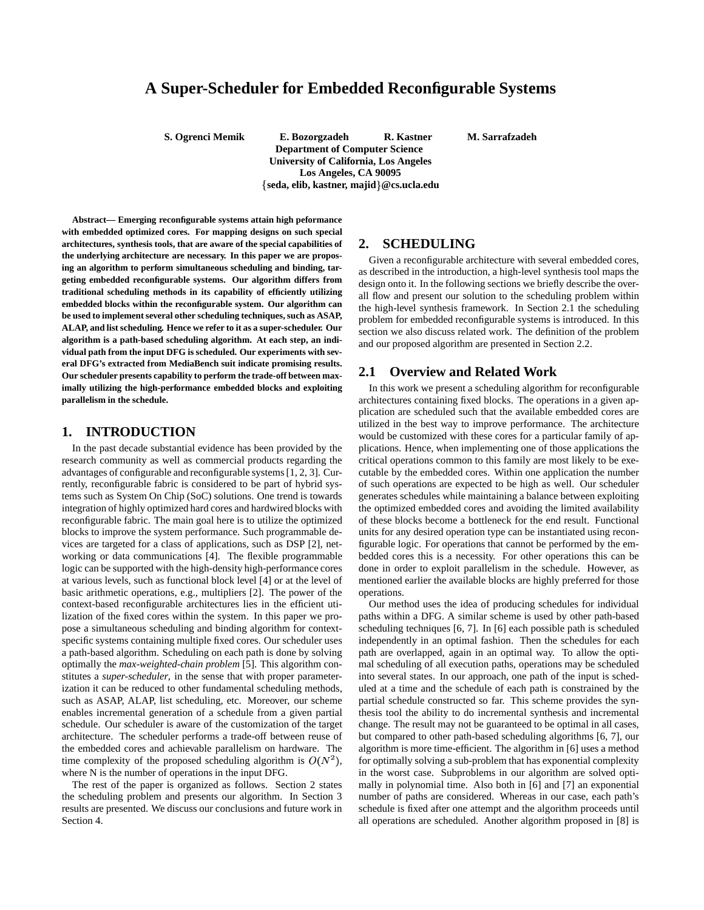# **A Super-Scheduler for Embedded Reconfigurable Systems**

**S. Ogrenci Memik E. Bozorgzadeh R. Kastner M. Sarrafzadeh Department of Computer Science University of California, Los Angeles Los Angeles, CA 90095 seda, elib, kastner, majid @cs.ucla.edu**

**Abstract— Emerging reconfigurable systems attain high peformance with embedded optimized cores. For mapping designs on such special architectures, synthesis tools, that are aware of the special capabilities of the underlying architecture are necessary. In this paper we are proposing an algorithm to perform simultaneous scheduling and binding, targeting embedded reconfigurable systems. Our algorithm differs from traditional scheduling methods in its capability of efficiently utilizing embedded blocks within the reconfigurable system. Our algorithm can be used to implementseveral other scheduling techniques,such as ASAP, ALAP, and listscheduling. Hence we refer to it as a super-scheduler. Our algorithm is a path-based scheduling algorithm. At each step, an individual path from the input DFG is scheduled. Our experiments with several DFG's extracted from MediaBench suit indicate promising results. Our scheduler presents capability to perform the trade-off between maximally utilizing the high-performance embedded blocks and exploiting parallelism in the schedule.**

## **1. INTRODUCTION**

In the past decade substantial evidence has been provided by the research community as well as commercial products regarding the advantages of configurable and reconfigurable systems[1, 2, 3]. Currently, reconfigurable fabric is considered to be part of hybrid systems such as System On Chip (SoC) solutions. One trend is towards integration of highly optimized hard cores and hardwired blocks with reconfigurable fabric. The main goal here is to utilize the optimized blocks to improve the system performance. Such programmable devices are targeted for a class of applications, such as DSP [2], networking or data communications [4]. The flexible programmable logic can be supported with the high-density high-performance cores at various levels, such as functional block level [4] or at the level of basic arithmetic operations, e.g., multipliers [2]. The power of the context-based reconfigurable architectures lies in the efficient utilization of the fixed cores within the system. In this paper we propose a simultaneous scheduling and binding algorithm for contextspecific systems containing multiple fixed cores. Our scheduler uses a path-based algorithm. Scheduling on each path is done by solving optimally the *max-weighted-chain problem* [5]. This algorithm constitutes a *super-scheduler*, in the sense that with proper parameterization it can be reduced to other fundamental scheduling methods, such as ASAP, ALAP, list scheduling, etc. Moreover, our scheme enables incremental generation of a schedule from a given partial schedule. Our scheduler is aware of the customization of the target architecture. The scheduler performs a trade-off between reuse of the embedded cores and achievable parallelism on hardware. The time complexity of the proposed scheduling algorithm is  $O(N^2)$ , f where N is the number of operations in the input DFG.

The rest of the paper is organized as follows. Section 2 states the scheduling problem and presents our algorithm. In Section 3 results are presented. We discuss our conclusions and future work in Section 4.

## **2. SCHEDULING**

Given a reconfigurable architecture with several embedded cores, as described in the introduction, a high-level synthesis tool maps the design onto it. In the following sections we briefly describe the overall flow and present our solution to the scheduling problem within the high-level synthesis framework. In Section 2.1 the scheduling problem for embedded reconfigurable systems is introduced. In this section we also discuss related work. The definition of the problem and our proposed algorithm are presented in Section 2.2.

## **2.1 Overview and Related Work**

In this work we present a scheduling algorithm for reconfigurable architectures containing fixed blocks. The operations in a given application are scheduled such that the available embedded cores are utilized in the best way to improve performance. The architecture would be customized with these cores for a particular family of applications. Hence, when implementing one of those applications the critical operations common to this family are most likely to be executable by the embedded cores. Within one application the number of such operations are expected to be high as well. Our scheduler generates schedules while maintaining a balance between exploiting the optimized embedded cores and avoiding the limited availability of these blocks become a bottleneck for the end result. Functional units for any desired operation type can be instantiated using reconfigurable logic. For operations that cannot be performed by the embedded cores this is a necessity. For other operations this can be done in order to exploit parallelism in the schedule. However, as mentioned earlier the available blocks are highly preferred for those operations.

Our method uses the idea of producing schedules for individual paths within a DFG. A similar scheme is used by other path-based scheduling techniques [6, 7]. In [6] each possible path is scheduled independently in an optimal fashion. Then the schedules for each path are overlapped, again in an optimal way. To allow the optimal scheduling of all execution paths, operations may be scheduled into several states. In our approach, one path of the input is scheduled at a time and the schedule of each path is constrained by the partial schedule constructed so far. This scheme provides the synthesis tool the ability to do incremental synthesis and incremental change. The result may not be guaranteed to be optimal in all cases, but compared to other path-based scheduling algorithms [6, 7], our algorithm is more time-efficient. The algorithm in [6] uses a method for optimally solving a sub-problem that has exponential complexity in the worst case. Subproblems in our algorithm are solved optimally in polynomial time. Also both in [6] and [7] an exponential number of paths are considered. Whereas in our case, each path's schedule is fixed after one attempt and the algorithm proceeds until all operations are scheduled. Another algorithm proposed in [8] is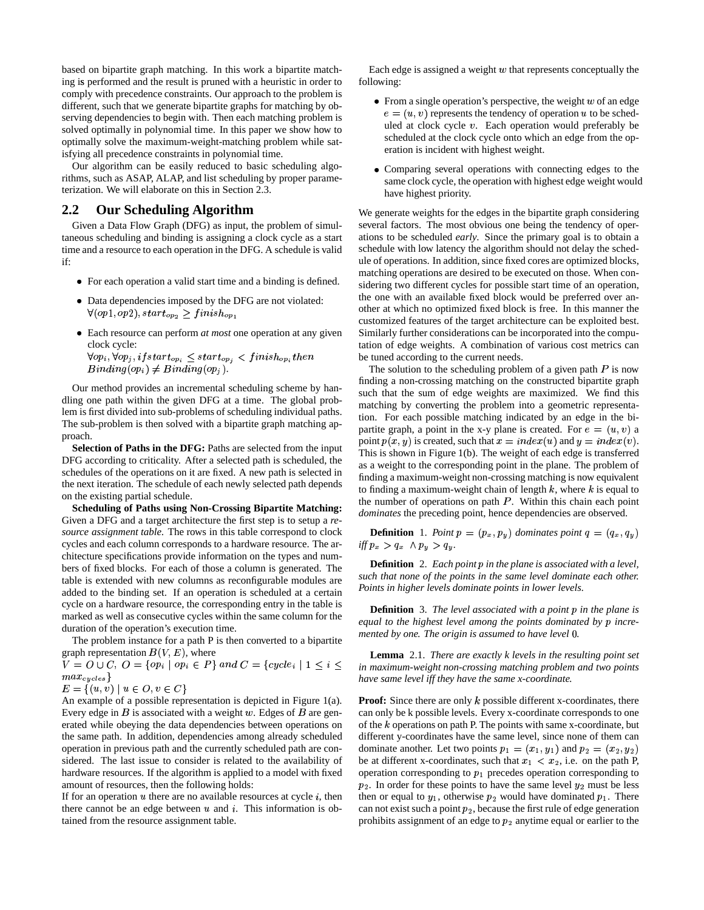based on bipartite graph matching. In this work a bipartite matching is performed and the result is pruned with a heuristic in order to comply with precedence constraints. Our approach to the problem is different, such that we generate bipartite graphs for matching by observing dependencies to begin with. Then each matching problem is solved optimally in polynomial time. In this paper we show how to optimally solve the maximum-weight-matching problem while satisfying all precedence constraints in polynomial time.

Our algorithm can be easily reduced to basic scheduling algorithms, such as ASAP, ALAP, and list scheduling by proper parameterization. We will elaborate on this in Section 2.3.

## **2.2 Our Scheduling Algorithm**

Given a Data Flow Graph (DFG) as input, the problem of simultaneous scheduling and binding is assigning a clock cycle as a start time and a resource to each operation in the DFG. A schedule is valid if:

- For each operation a valid start time and a binding is defined.
- Data dependencies imposed by the DFG are not violated:  $\forall (op1, op2), start_{op2} > finish_{op1}$
- Each resource can perform *at most* one operation at any given clock cycle:  $\forall op_i, \forall op_j, if start_{on_i} \leq start_{on_i} \leq finish_{on_i} then$  be

 $\begin{aligned} Binding(op_i) \neq \textit{Binding}(op_j). \end{aligned}$ 

Our method provides an incremental scheduling scheme by handling one path within the given DFG at a time. The global problem is first divided into sub-problems of scheduling individual paths. The sub-problem is then solved with a bipartite graph matching approach.

**Selection of Paths in the DFG:** Paths are selected from the input DFG according to criticality. After a selected path is scheduled, the schedules of the operations on it are fixed. A new path is selected in the next iteration. The schedule of each newly selected path depends on the existing partial schedule.

**Scheduling of Paths using Non-Crossing Bipartite Matching:** Given a DFG and a target architecture the first step is to setup a *resource assignment table*. The rows in this table correspond to clock cycles and each column corresponds to a hardware resource. The architecture specifications provide information on the types and numbers of fixed blocks. For each of those a column is generated. The table is extended with new columns as reconfigurable modules are added to the binding set. If an operation is scheduled at a certain cycle on a hardware resource, the corresponding entry in the table is marked as well as consecutive cycles within the same column for the duration of the operation's execution time.

The problem instance for a path P is then converted to a bipartite graph representation  $B(V, E)$ , where

 $V = O \cup C, O = \{ op_i \mid op_i \in P \}$  and  $C = \{ cycle_i \mid 1 \leq i \leq \dots \text{in maximum} \}$  $max_{cycles}$ 

$$
E=\{(u,v)\mid u\in O, v\in C\}
$$

An example of a possible representation is depicted in Figure 1(a). Every edge in  $B$  is associated with a weight  $w$ . Edges of  $B$  are gen-can erated while obeying the data dependencies between operations on the same path. In addition, dependencies among already scheduled operation in previous path and the currently scheduled path are considered. The last issue to consider is related to the availability of hardware resources. If the algorithm is applied to a model with fixed amount of resources, then the following holds:

If for an operation  $u$  there are no available resources at cycle  $i$ , then there cannot be an edge between  $u$  and  $i$ . This information is obtained from the resource assignment table.

Each edge is assigned a weight  $w$  that represents conceptually the following:

- From a single operation's perspective, the weight  $w$  of an edge  $e = (u, v)$  represents the tendency of operation u to be scheduled at clock cycle  $v$ . Each operation would preferably be scheduled at the clock cycle onto which an edge from the operation is incident with highest weight.
- Comparing several operations with connecting edges to the same clock cycle, the operation with highest edge weight would have highest priority.

We generate weights for the edges in the bipartite graph considering several factors. The most obvious one being the tendency of operations to be scheduled *early*. Since the primary goal is to obtain a schedule with low latency the algorithm should not delay the schedule of operations. In addition, since fixed cores are optimized blocks, matching operations are desired to be executed on those. When considering two different cycles for possible start time of an operation, the one with an available fixed block would be preferred over another at which no optimized fixed block is free. In this manner the customized features of the target architecture can be exploited best. Similarly further considerations can be incorporated into the computation of edge weights. A combination of various cost metrics can be tuned according to the current needs.

The solution to the scheduling problem of a given path  $P$  is now finding a non-crossing matching on the constructed bipartite graph such that the sum of edge weights are maximized. We find this matching by converting the problem into a geometric representation. For each possible matching indicated by an edge in the bipartite graph, a point in the x-y plane is created. For  $e = (u, v)$  a point  $p(x, y)$  is created, such that  $x = index(u)$  and  $y = index(v)$ . This is shown in Figure 1(b). The weight of each edge is transferred as a weight to the corresponding point in the plane. The problem of finding a maximum-weight non-crossing matching is now equivalent to finding a maximum-weight chain of length  $k$ , where  $k$  is equal to the number of operations on path  $P$ . Within this chain each point *dominates* the preceding point, hence dependencies are observed.

**Definition** 1. *Point*  $p = (p_x, p_y)$  *dominates point*  $q = (q_x, q_y)$ *iff*  $p_x > q_x \land p_y > q_y$ .

**Definition** 2. *Each point in the plane is associated with a level, such that none of the points in the same level dominate each other. Points in higher levels dominate points in lower levels.*

**Definition** 3. *The level associated with a point in the plane is equal to the highest level among the points dominated by incremented by one. The origin is assumed to have level* 0.

**Lemma** 2.1. *There are exactly k levels in the resulting point set in maximum-weight non-crossing matching problem and two points have same level iff they have the same x-coordinate.*

**Proof:** Since there are only  $k$  possible different x-coordinates, there can only be k possible levels. Every x-coordinate corresponds to one of the  $k$  operations on path P. The points with same x-coordinate, but different y-coordinates have the same level, since none of them can dominate another. Let two points  $p_1 = (x_1, y_1)$  and  $p_2 = (x_2, y_2)$ be at different x-coordinates, such that  $x_1 < x_2$ , i.e. on the path P, operation corresponding to  $p_1$  precedes operation corresponding to  $p_2$ . In order for these points to have the same level  $y_2$  must be less then or equal to  $y_1$ , otherwise  $p_2$  would have dominated  $p_1$ . There can not exist such a point  $p_2$ , because the first rule of edge generation prohibits assignment of an edge to  $p_2$  anytime equal or earlier to the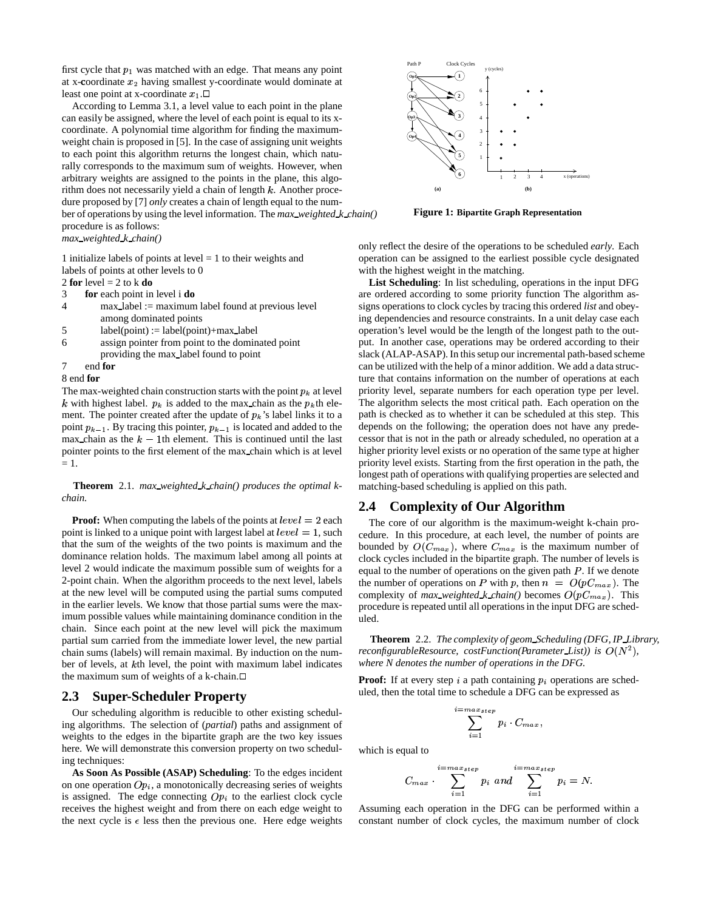first cycle that  $p_1$  was matched with an edge. That means any point at x-coordinate  $x_2$  having smallest y-coordinate would dominate at least one point at x-coordinate  $x_1$ . $\Box$ 

According to Lemma 3.1, a level value to each point in the plane can easily be assigned, where the level of each point is equal to its xcoordinate. A polynomial time algorithm for finding the maximumweight chain is proposed in [5]. In the case of assigning unit weights to each point this algorithm returns the longest chain, which naturally corresponds to the maximum sum of weights. However, when arbitrary weights are assigned to the points in the plane, this algorithm does not necessarily yield a chain of length  $k$ . Another procedure proposed by [7] *only* creates a chain of length equal to the number of operations by using the level information. The *max weighted k chain()* procedure is as follows: *max weighted k chain()*

1 initialize labels of points at level = 1 to their weights and labels of points at other levels to 0

2 **for** level = 2 to k **do**

3 **for** each point in level i **do**

4 max label := maximum label found at previous level among dominated points

5  $label(point) := label(point)+max\_label$ 

6 assign pointer from point to the dominated point providing the max label found to point

### 7 end **for**

#### 8 end **for**

The max-weighted chain construction starts with the point  $p_k$  at level k with highest label.  $p_k$  is added to the max chain as the  $p_k$ th element. The pointer created after the update of  $p_k$ 's label links it to a point  $p_{k-1}$ . By tracing this pointer,  $p_{k-1}$  is located and added to the max chain as the  $k-1$ th element. This is continued until the last pointer points to the first element of the max chain which is at level  $= 1.$ 

**Theorem** 2.1. *max weighted k chain() produces the optimal kchain.*

**Proof:** When computing the labels of the points at  $level = 2$  each  $T_1$ point is linked to a unique point with largest label at  $level = 1$ , such ced that the sum of the weights of the two points is maximum and the dominance relation holds. The maximum label among all points at level 2 would indicate the maximum possible sum of weights for a 2-point chain. When the algorithm proceeds to the next level, labels at the new level will be computed using the partial sums computed in the earlier levels. We know that those partial sums were the maximum possible values while maintaining dominance condition in the chain. Since each point at the new level will pick the maximum partial sum carried from the immediate lower level, the new partial chain sums (labels) will remain maximal. By induction on the number of levels, at  $k$ th level, the point with maximum label indicates the maximum sum of weights of a k-chain. $\Box$ 

#### **2.3 Super-Scheduler Property**

Our scheduling algorithm is reducible to other existing scheduling algorithms. The selection of (*partial*) paths and assignment of weights to the edges in the bipartite graph are the two key issues here. We will demonstrate this conversion property on two scheduling techniques:

**As Soon As Possible (ASAP) Scheduling**: To the edges incident on one operation  $Op_i$ , a monotonically decreasing series of weights is assigned. The edge connecting  $Op_i$  to the earliest clock cycle receives the highest weight and from there on each edge weight to the next cycle is  $\epsilon$  less then the previous one. Here edge weights



**Figure 1: Bipartite Graph Representation**

only reflect the desire of the operations to be scheduled *early*. Each operation can be assigned to the earliest possible cycle designated with the highest weight in the matching.

**List Scheduling**: In list scheduling, operations in the input DFG are ordered according to some priority function The algorithm assigns operations to clock cycles by tracing this ordered *list* and obeying dependencies and resource constraints. In a unit delay case each operation's level would be the length of the longest path to the output. In another case, operations may be ordered according to their slack (ALAP-ASAP). In this setup our incremental path-based scheme can be utilized with the help of a minor addition. We add a data structure that contains information on the number of operations at each priority level, separate numbers for each operation type per level. The algorithm selects the most critical path. Each operation on the path is checked as to whether it can be scheduled at this step. This depends on the following; the operation does not have any predecessor that is not in the path or already scheduled, no operation at a higher priority level exists or no operation of the same type at higher priority level exists. Starting from the first operation in the path, the longest path of operations with qualifying properties are selected and matching-based scheduling is applied on this path.

## **2.4 Complexity of Our Algorithm**

The core of our algorithm is the maximum-weight k-chain procedure. In this procedure, at each level, the number of points are bounded by  $O(C_{max})$ , where  $C_{max}$  is the maximum number of clock cycles included in the bipartite graph. The number of levels is equal to the number of operations on the given path  $P$ . If we denote the number of operations on P with p, then  $n = O(pC_{max})$ . The complexity of *max\_weighted\_k\_chain()* becomes  $O(pC_{max})$ . This procedure is repeated until all operationsin the input DFG are scheduled.

**Theorem** 2.2. *The complexity of geom Scheduling (DFG, IP Library, reconfigurableResource, costFunction(Parameter\_List)) is*  $O(N^2)$ , *where N denotes the number of operations in the DFG.*

**Proof:** If at every step  $i$  a path containing  $p_i$  operations are scheduled, then the total time to schedule a DFG can be expressed as

$$
\sum_{i=1}^{i=\mathop{max}\limits_{s\,t\,e\,p}} p_i \cdot C_{\mathop{max}\limits},
$$

which is equal to

$$
C_{max} \cdot \sum_{i=1}^{i=max_{step}} p_i \text{ and } \sum_{i=1}^{i=max_{step}} p_i = N.
$$

Assuming each operation in the DFG can be performed within a constant number of clock cycles, the maximum number of clock